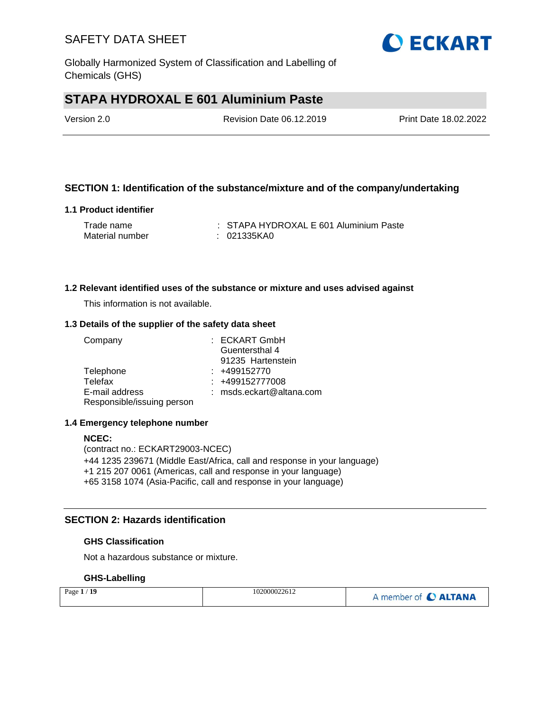

Globally Harmonized System of Classification and Labelling of Chemicals (GHS)

# **STAPA HYDROXAL E 601 Aluminium Paste**

Revision Date 06.12.2019 Print Date 18.02.2022

## **SECTION 1: Identification of the substance/mixture and of the company/undertaking**

### **1.1 Product identifier**

| Trade name      | : STAPA HYDROXAL E 601 Aluminium Paste |
|-----------------|----------------------------------------|
| Material number | : 021335KA0                            |

### **1.2 Relevant identified uses of the substance or mixture and uses advised against**

This information is not available.

### **1.3 Details of the supplier of the safety data sheet**

| Company                    | $:$ ECKART GmbH            |
|----------------------------|----------------------------|
|                            | Guentersthal 4             |
|                            | 91235 Hartenstein          |
| Telephone                  | $: +499152770$             |
| Telefax                    | $: +499152777008$          |
| E-mail address             | $:$ msds.eckart@altana.com |
| Responsible/issuing person |                            |

### **1.4 Emergency telephone number**

#### **NCEC:**

(contract no.: ECKART29003-NCEC) +44 1235 239671 (Middle East/Africa, call and response in your language) +1 215 207 0061 (Americas, call and response in your language) +65 3158 1074 (Asia-Pacific, call and response in your language)

### **SECTION 2: Hazards identification**

### **GHS Classification**

Not a hazardous substance or mixture.

### **GHS-Labelling**

| 102000022612<br>Page $1/19$ | A member of C ALTANA |
|-----------------------------|----------------------|
|-----------------------------|----------------------|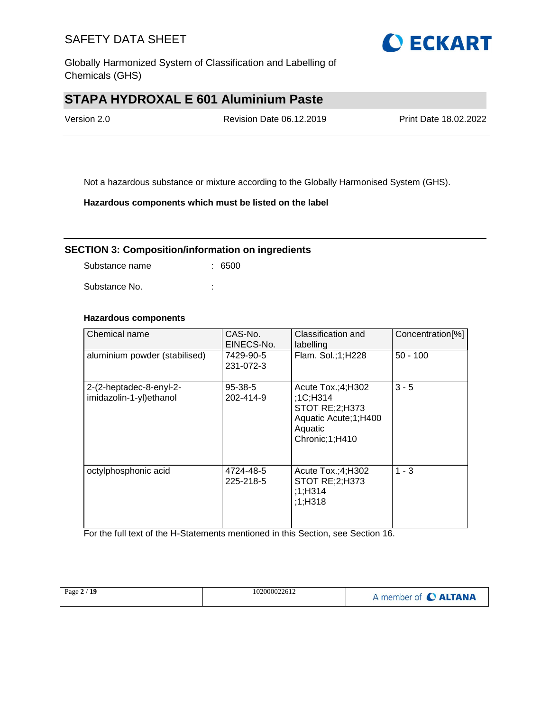

Globally Harmonized System of Classification and Labelling of Chemicals (GHS)

# **STAPA HYDROXAL E 601 Aluminium Paste**

Version 2.0 Revision Date 06.12.2019 Print Date 18.02.2022

Not a hazardous substance or mixture according to the Globally Harmonised System (GHS).

**Hazardous components which must be listed on the label**

### **SECTION 3: Composition/information on ingredients**

Substance name : 6500

Substance No. **:** : :

## **Hazardous components**

| Chemical name                                      | CAS-No.<br>EINECS-No.      | Classification and<br>labelling                                                                               | Concentration[%] |
|----------------------------------------------------|----------------------------|---------------------------------------------------------------------------------------------------------------|------------------|
| aluminium powder (stabilised)                      | 7429-90-5<br>231-072-3     | Flam. Sol.;1;H228                                                                                             | $50 - 100$       |
| 2-(2-heptadec-8-enyl-2-<br>imidazolin-1-yl)ethanol | $95 - 38 - 5$<br>202-414-9 | Acute $Tox:(4;H302)$<br>:1C;H314<br>STOT RE; 2; H373<br>Aquatic Acute; 1; H400<br>Aquatic<br>Chronic; 1; H410 | $3 - 5$          |
| octylphosphonic acid                               | 4724-48-5<br>225-218-5     | Acute $Tox:(4;H302)$<br>STOT RE; 2; H373<br>;1;H314<br>;1;H318                                                | $1 - 3$          |

For the full text of the H-Statements mentioned in this Section, see Section 16.

| Page $2/19$ | 102000022612 | A member of C ALTANA |
|-------------|--------------|----------------------|
|             |              |                      |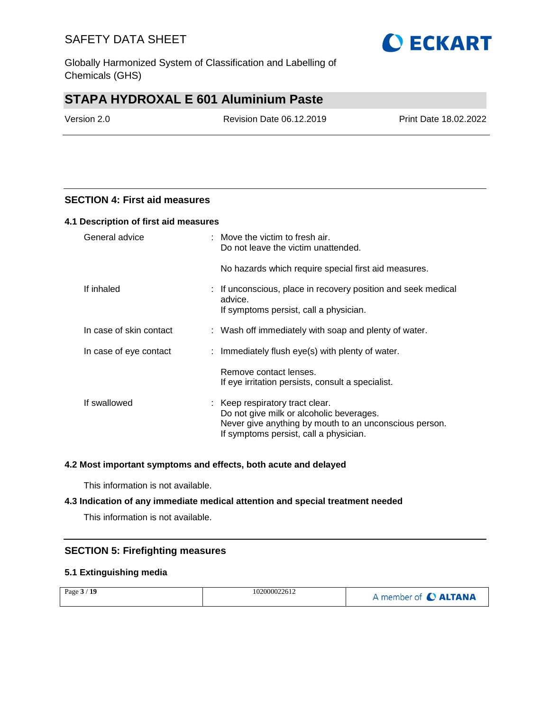Globally Harmonized System of Classification and Labelling of Chemicals (GHS)

# **STAPA HYDROXAL E 601 Aluminium Paste**

Version 2.0 Revision Date 06.12.2019 Print Date 18.02.2022

## **SECTION 4: First aid measures**

#### **4.1 Description of first aid measures**

| General advice          | $:$ Move the victim to fresh air.<br>Do not leave the victim unattended.                                                                                                        |  |
|-------------------------|---------------------------------------------------------------------------------------------------------------------------------------------------------------------------------|--|
|                         | No hazards which require special first aid measures.                                                                                                                            |  |
| If inhaled              | : If unconscious, place in recovery position and seek medical<br>advice.<br>If symptoms persist, call a physician.                                                              |  |
| In case of skin contact | : Wash off immediately with soap and plenty of water.                                                                                                                           |  |
| In case of eye contact  | : Immediately flush eye(s) with plenty of water.                                                                                                                                |  |
|                         | Remove contact lenses.<br>If eye irritation persists, consult a specialist.                                                                                                     |  |
| If swallowed            | : Keep respiratory tract clear.<br>Do not give milk or alcoholic beverages.<br>Never give anything by mouth to an unconscious person.<br>If symptoms persist, call a physician. |  |

### **4.2 Most important symptoms and effects, both acute and delayed**

This information is not available.

### **4.3 Indication of any immediate medical attention and special treatment needed**

This information is not available.

### **SECTION 5: Firefighting measures**

### **5.1 Extinguishing media**

| Page $3/19$ | 102000022612 | A member of C ALTANA |
|-------------|--------------|----------------------|
|-------------|--------------|----------------------|

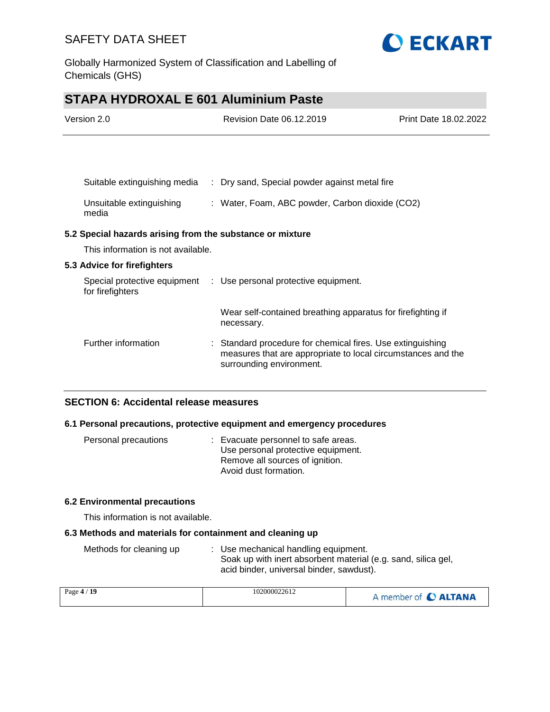

Globally Harmonized System of Classification and Labelling of Chemicals (GHS)

# **STAPA HYDROXAL E 601 Aluminium Paste**

| Version 2.0 |                                                           | Revision Date 06.12.2019                                                  | Print Date 18.02.2022 |  |
|-------------|-----------------------------------------------------------|---------------------------------------------------------------------------|-----------------------|--|
|             |                                                           |                                                                           |                       |  |
|             | Suitable extinguishing media                              | : Dry sand, Special powder against metal fire                             |                       |  |
|             |                                                           |                                                                           |                       |  |
|             | Unsuitable extinguishing<br>media                         | : Water, Foam, ABC powder, Carbon dioxide (CO2)                           |                       |  |
|             | 5.2 Special hazards arising from the substance or mixture |                                                                           |                       |  |
|             | This information is not available.                        |                                                                           |                       |  |
|             | 5.3 Advice for firefighters                               |                                                                           |                       |  |
|             | Special protective equipment<br>for firefighters          | : Use personal protective equipment.                                      |                       |  |
|             |                                                           | Wear self-contained breathing apparatus for firefighting if<br>necessary. |                       |  |

Further information : Standard procedure for chemical fires. Use extinguishing measures that are appropriate to local circumstances and the surrounding environment.

## **SECTION 6: Accidental release measures**

### **6.1 Personal precautions, protective equipment and emergency procedures**

| Personal precautions | : Evacuate personnel to safe areas. |
|----------------------|-------------------------------------|
|                      | Use personal protective equipment.  |
|                      | Remove all sources of ignition.     |
|                      | Avoid dust formation.               |

### **6.2 Environmental precautions**

This information is not available.

### **6.3 Methods and materials for containment and cleaning up**

| Methods for cleaning up | : Use mechanical handling equipment.                          |
|-------------------------|---------------------------------------------------------------|
|                         | Soak up with inert absorbent material (e.g. sand, silica gel, |
|                         | acid binder, universal binder, sawdust).                      |

| Page 4 / 19 | 102000022612 | A member of C ALTANA |
|-------------|--------------|----------------------|
|-------------|--------------|----------------------|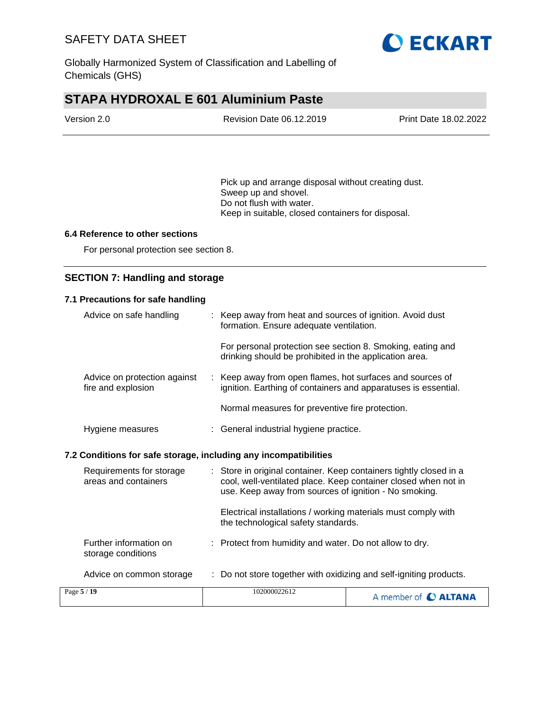

Globally Harmonized System of Classification and Labelling of Chemicals (GHS)

# **STAPA HYDROXAL E 601 Aluminium Paste**

| Version 2.0 | Revision Date 06.12.2019 | <b>Print Date 18.02.2022</b> |
|-------------|--------------------------|------------------------------|
|             |                          |                              |

Pick up and arrange disposal without creating dust. Sweep up and shovel. Do not flush with water. Keep in suitable, closed containers for disposal.

### **6.4 Reference to other sections**

For personal protection see section 8.

## **SECTION 7: Handling and storage**

| 7.1 Precautions for safe handling                                |                                                                                                                                                                                               |                      |
|------------------------------------------------------------------|-----------------------------------------------------------------------------------------------------------------------------------------------------------------------------------------------|----------------------|
| Advice on safe handling                                          | : Keep away from heat and sources of ignition. Avoid dust<br>formation. Ensure adequate ventilation.                                                                                          |                      |
|                                                                  | For personal protection see section 8. Smoking, eating and<br>drinking should be prohibited in the application area.                                                                          |                      |
| Advice on protection against<br>fire and explosion               | : Keep away from open flames, hot surfaces and sources of<br>ignition. Earthing of containers and apparatuses is essential.                                                                   |                      |
|                                                                  | Normal measures for preventive fire protection.                                                                                                                                               |                      |
| Hygiene measures                                                 | : General industrial hygiene practice.                                                                                                                                                        |                      |
| 7.2 Conditions for safe storage, including any incompatibilities |                                                                                                                                                                                               |                      |
| Requirements for storage<br>areas and containers                 | : Store in original container. Keep containers tightly closed in a<br>cool, well-ventilated place. Keep container closed when not in<br>use. Keep away from sources of ignition - No smoking. |                      |
|                                                                  | Electrical installations / working materials must comply with<br>the technological safety standards.                                                                                          |                      |
| Further information on<br>storage conditions                     | : Protect from humidity and water. Do not allow to dry.                                                                                                                                       |                      |
| Advice on common storage                                         | : Do not store together with oxidizing and self-igniting products.                                                                                                                            |                      |
| Page 5 / 19                                                      | 102000022612                                                                                                                                                                                  | A member of C ALTANA |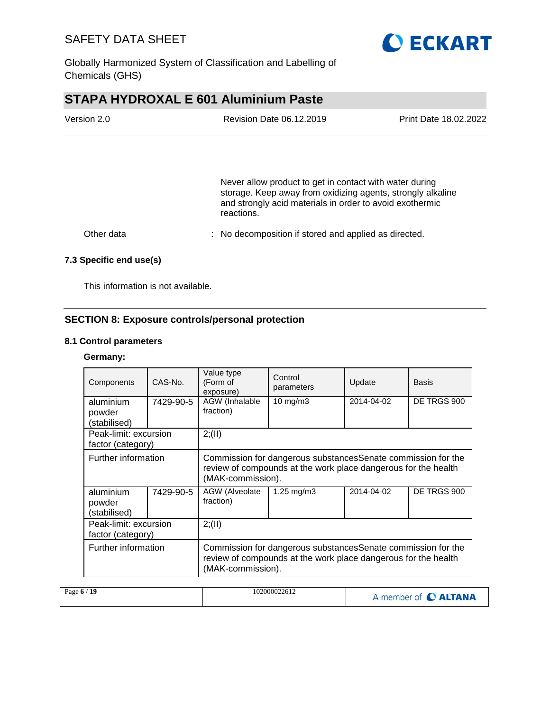

Globally Harmonized System of Classification and Labelling of Chemicals (GHS)

# **STAPA HYDROXAL E 601 Aluminium Paste**

| Version 2.0 | <b>Revision Date 06.12.2019</b>                                                                                                                                                    | Print Date 18.02.2022 |
|-------------|------------------------------------------------------------------------------------------------------------------------------------------------------------------------------------|-----------------------|
|             |                                                                                                                                                                                    |                       |
|             |                                                                                                                                                                                    |                       |
|             | Never allow product to get in contact with water during<br>storage. Keep away from oxidizing agents, strongly alkaline<br>and strongly acid materials in order to avoid exothermic |                       |

Other data : No decomposition if stored and applied as directed.

reactions.

### **7.3 Specific end use(s)**

This information is not available.

## **SECTION 8: Exposure controls/personal protection**

### **8.1 Control parameters**

### **Germany:**

| Components                                 | CAS-No.   | Value type<br>(Form of<br>exposure)                                                                                                                  | Control<br>parameters   | Update     | <b>Basis</b> |
|--------------------------------------------|-----------|------------------------------------------------------------------------------------------------------------------------------------------------------|-------------------------|------------|--------------|
| aluminium<br>powder                        | 7429-90-5 | AGW (Inhalable<br>fraction)                                                                                                                          | $10 \text{ mg/m}$       | 2014-04-02 | DE TRGS 900  |
| (stabilised)                               |           |                                                                                                                                                      |                         |            |              |
| Peak-limit: excursion                      |           | 2; (II)                                                                                                                                              |                         |            |              |
| factor (category)                          |           |                                                                                                                                                      |                         |            |              |
| Further information                        |           | Commission for dangerous substances Senate commission for the<br>review of compounds at the work place dangerous for the health<br>(MAK-commission). |                         |            |              |
| aluminium<br>powder<br>(stabilised)        | 7429-90-5 | AGW (Alveolate<br>fraction)                                                                                                                          | $1,25 \,\mathrm{mq/m3}$ | 2014-04-02 | DE TRGS 900  |
| Peak-limit: excursion<br>factor (category) |           | 2; (II)                                                                                                                                              |                         |            |              |
| Further information                        |           | Commission for dangerous substances Senate commission for the<br>review of compounds at the work place dangerous for the health<br>(MAK-commission). |                         |            |              |

| Page $6/19$ | 102000022612 | A member of C ALTANA |
|-------------|--------------|----------------------|
|-------------|--------------|----------------------|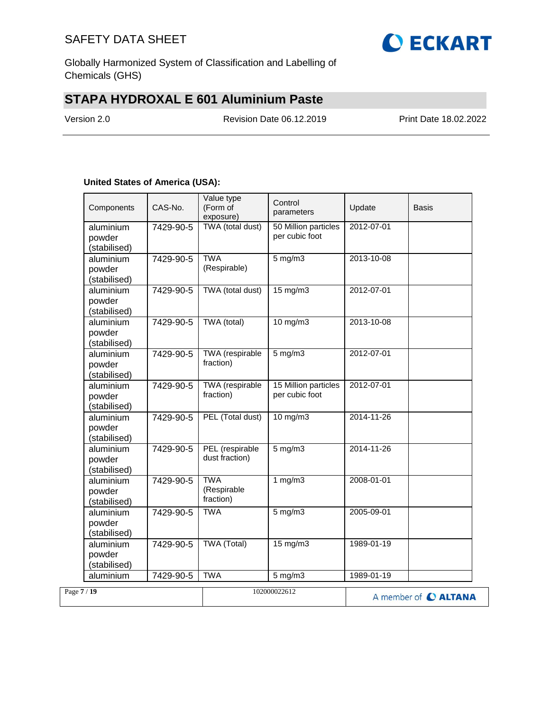

Globally Harmonized System of Classification and Labelling of Chemicals (GHS)

# **STAPA HYDROXAL E 601 Aluminium Paste**

Version 2.0 Revision Date 06.12.2019 Print Date 18.02.2022

### **United States of America (USA):**

| Components                          | CAS-No.   | Value type<br>(Form of<br>exposure)    | Control<br>parameters                   | Update     | Basis |
|-------------------------------------|-----------|----------------------------------------|-----------------------------------------|------------|-------|
| aluminium<br>powder<br>(stabilised) | 7429-90-5 | TWA (total dust)                       | 50 Million particles<br>per cubic foot  | 2012-07-01 |       |
| aluminium<br>powder<br>(stabilised) | 7429-90-5 | <b>TWA</b><br>(Respirable)             | $5$ mg/m $3$                            | 2013-10-08 |       |
| aluminium<br>powder<br>(stabilised) | 7429-90-5 | TWA (total dust)                       | $15 \text{ mg/m}$                       | 2012-07-01 |       |
| aluminium<br>powder<br>(stabilised) | 7429-90-5 | TWA (total)                            | $10$ mg/m $3$                           | 2013-10-08 |       |
| aluminium<br>powder<br>(stabilised) | 7429-90-5 | <b>TWA</b> (respirable<br>fraction)    | $5 \text{ mg/m}$                        | 2012-07-01 |       |
| aluminium<br>powder<br>(stabilised) | 7429-90-5 | <b>TWA</b> (respirable<br>fraction)    | 15 Million particles<br>per cubic foot  | 2012-07-01 |       |
| aluminium<br>powder<br>(stabilised) | 7429-90-5 | PEL (Total dust)                       | $10$ mg/m $3$                           | 2014-11-26 |       |
| aluminium<br>powder<br>(stabilised) | 7429-90-5 | PEL (respirable<br>dust fraction)      | $5 \text{ mg/m}$                        | 2014-11-26 |       |
| aluminium<br>powder<br>(stabilised) | 7429-90-5 | <b>TWA</b><br>(Respirable<br>fraction) | 1 $mg/m3$                               | 2008-01-01 |       |
| aluminium<br>powder<br>(stabilised) | 7429-90-5 | <b>TWA</b>                             | $5 \overline{\mathrm{mg}} / \mathrm{m}$ | 2005-09-01 |       |
| aluminium<br>powder<br>(stabilised) | 7429-90-5 | <b>TWA (Total)</b>                     | $15 \text{ mg/m}$                       | 1989-01-19 |       |
|                                     |           |                                        |                                         | 1989-01-19 |       |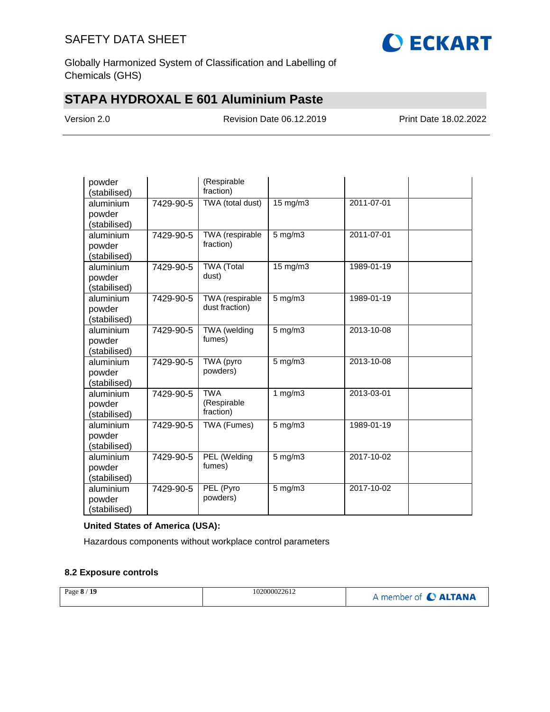

Globally Harmonized System of Classification and Labelling of Chemicals (GHS)

# **STAPA HYDROXAL E 601 Aluminium Paste**

Version 2.0 Revision Date 06.12.2019 Print Date 18.02.2022

| powder                 |           | (Respirable                   |                   |                  |  |
|------------------------|-----------|-------------------------------|-------------------|------------------|--|
| (stabilised)           |           | fraction)                     |                   |                  |  |
| aluminium              | 7429-90-5 | TWA (total dust)              | $15 \text{ mg/m}$ | 2011-07-01       |  |
| powder                 |           |                               |                   |                  |  |
| (stabilised)           |           |                               |                   |                  |  |
| aluminium              | 7429-90-5 | TWA (respirable               | $5$ mg/m $3$      | 2011-07-01       |  |
| powder                 |           | fraction)                     |                   |                  |  |
| (stabilised)           |           |                               |                   |                  |  |
| aluminium              | 7429-90-5 | <b>TWA (Total</b>             | 15 mg/m3          | 1989-01-19       |  |
| powder                 |           | dust)                         |                   |                  |  |
| (stabilised)           |           |                               |                   |                  |  |
| aluminium              | 7429-90-5 | TWA (respirable               | $5$ mg/m $3$      | 1989-01-19       |  |
| powder                 |           | dust fraction)                |                   |                  |  |
| (stabilised)           |           |                               |                   |                  |  |
| aluminium              | 7429-90-5 | <b>TWA</b> (welding<br>fumes) | $5$ mg/m $3$      | 2013-10-08       |  |
| powder                 |           |                               |                   |                  |  |
| (stabilised)           |           |                               |                   |                  |  |
| aluminium              | 7429-90-5 | TWA (pyro<br>powders)         | $5$ mg/m $3$      | $2013 - 10 - 08$ |  |
| powder                 |           |                               |                   |                  |  |
| (stabilised)           |           | <b>TWA</b>                    |                   | 2013-03-01       |  |
| aluminium              | 7429-90-5 | (Respirable                   | 1 $mg/m3$         |                  |  |
| powder<br>(stabilised) |           | fraction)                     |                   |                  |  |
| aluminium              | 7429-90-5 | TWA (Fumes)                   | $5$ mg/m $3$      | 1989-01-19       |  |
| powder                 |           |                               |                   |                  |  |
| (stabilised)           |           |                               |                   |                  |  |
| aluminium              | 7429-90-5 | PEL (Welding                  | $5$ mg/m $3$      | 2017-10-02       |  |
| powder                 |           | fumes)                        |                   |                  |  |
| (stabilised)           |           |                               |                   |                  |  |
| aluminium              | 7429-90-5 | PEL (Pyro                     | $5$ mg/m $3$      | 2017-10-02       |  |
| powder                 |           | powders)                      |                   |                  |  |
| (stabilised)           |           |                               |                   |                  |  |

### **United States of America (USA):**

Hazardous components without workplace control parameters

### **8.2 Exposure controls**

| Page 8 / 19<br>102000022612 | A member of C ALTANA |
|-----------------------------|----------------------|
|-----------------------------|----------------------|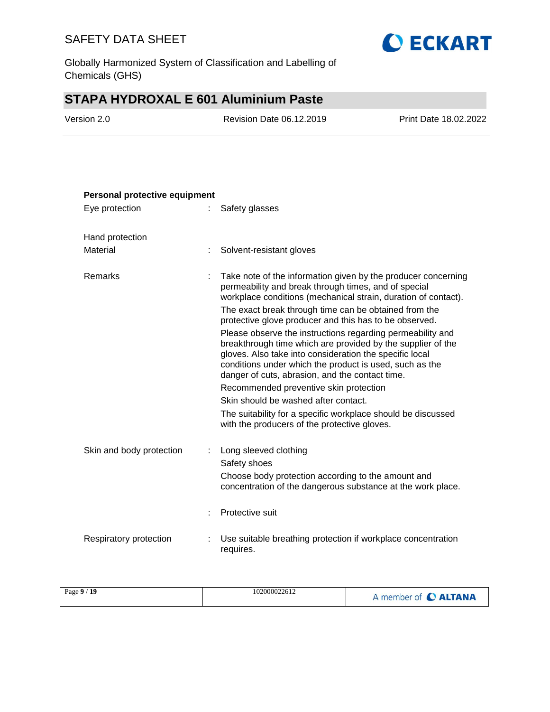

Globally Harmonized System of Classification and Labelling of Chemicals (GHS)

# **STAPA HYDROXAL E 601 Aluminium Paste**

| Version 2.0 |  |
|-------------|--|
|-------------|--|

Revision Date 06.12.2019 Print Date 18.02.2022

| Personal protective equipment |   |                                                                                                                                                                                                                                                                                                    |
|-------------------------------|---|----------------------------------------------------------------------------------------------------------------------------------------------------------------------------------------------------------------------------------------------------------------------------------------------------|
| Eye protection                |   | Safety glasses                                                                                                                                                                                                                                                                                     |
| Hand protection               |   |                                                                                                                                                                                                                                                                                                    |
| Material                      |   | Solvent-resistant gloves                                                                                                                                                                                                                                                                           |
| Remarks                       |   | Take note of the information given by the producer concerning<br>permeability and break through times, and of special<br>workplace conditions (mechanical strain, duration of contact).                                                                                                            |
|                               |   | The exact break through time can be obtained from the<br>protective glove producer and this has to be observed.                                                                                                                                                                                    |
|                               |   | Please observe the instructions regarding permeability and<br>breakthrough time which are provided by the supplier of the<br>gloves. Also take into consideration the specific local<br>conditions under which the product is used, such as the<br>danger of cuts, abrasion, and the contact time. |
|                               |   | Recommended preventive skin protection                                                                                                                                                                                                                                                             |
|                               |   | Skin should be washed after contact.                                                                                                                                                                                                                                                               |
|                               |   | The suitability for a specific workplace should be discussed<br>with the producers of the protective gloves.                                                                                                                                                                                       |
| Skin and body protection      | ÷ | Long sleeved clothing<br>Safety shoes<br>Choose body protection according to the amount and<br>concentration of the dangerous substance at the work place.                                                                                                                                         |
|                               |   | Protective suit                                                                                                                                                                                                                                                                                    |
| Respiratory protection        |   | Use suitable breathing protection if workplace concentration<br>requires.                                                                                                                                                                                                                          |

| Page 9 / 19 | 102000022612 | <b>CALTANA</b><br>member of |
|-------------|--------------|-----------------------------|
|-------------|--------------|-----------------------------|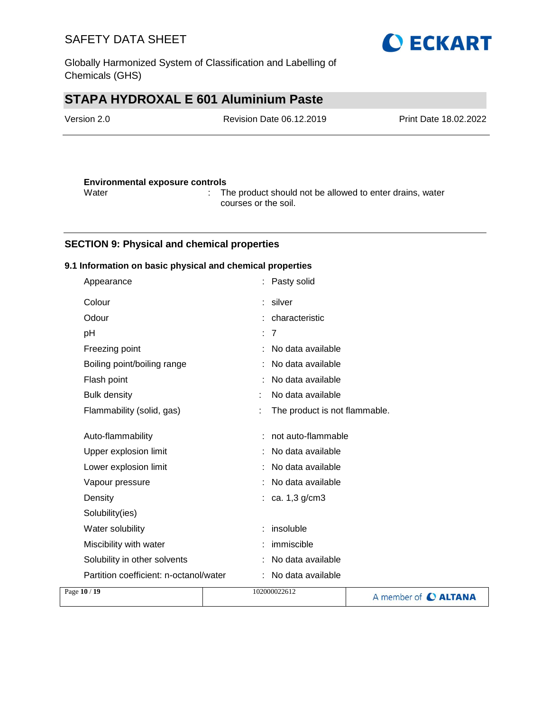Globally Harmonized System of Classification and Labelling of Chemicals (GHS)

# **STAPA HYDROXAL E 601 Aluminium Paste**

| Version 2.0 | Revision Date 06.12.2019 | <b>Print Date 18.02.2022</b> |
|-------------|--------------------------|------------------------------|
|             |                          |                              |
|             |                          |                              |

**O ECKART** 

### **Environmental exposure controls** Water : The product should not be allowed to enter drains, water courses or the soil.

## **SECTION 9: Physical and chemical properties**

### **9.1 Information on basic physical and chemical properties**

| Page 10 / 19 |                                        | 102000022612                  | A member of C ALTANA |
|--------------|----------------------------------------|-------------------------------|----------------------|
|              | Partition coefficient: n-octanol/water | No data available             |                      |
|              | Solubility in other solvents           | No data available             |                      |
|              | Miscibility with water                 | immiscible                    |                      |
|              | Water solubility                       | insoluble                     |                      |
|              | Solubility(ies)                        |                               |                      |
|              | Density                                | : ca. 1,3 $g/cm3$             |                      |
|              | Vapour pressure                        | No data available             |                      |
|              | Lower explosion limit                  | No data available             |                      |
|              | Upper explosion limit                  | No data available             |                      |
|              | Auto-flammability                      | not auto-flammable            |                      |
|              | Flammability (solid, gas)              | The product is not flammable. |                      |
|              | <b>Bulk density</b>                    | No data available             |                      |
|              | Flash point                            | No data available             |                      |
|              | Boiling point/boiling range            | No data available             |                      |
|              | Freezing point                         | No data available             |                      |
|              | pH                                     | : 7                           |                      |
|              | Odour                                  | : characteristic              |                      |
|              | Colour                                 | : silver                      |                      |
|              | Appearance                             | Pasty solid                   |                      |
|              |                                        |                               |                      |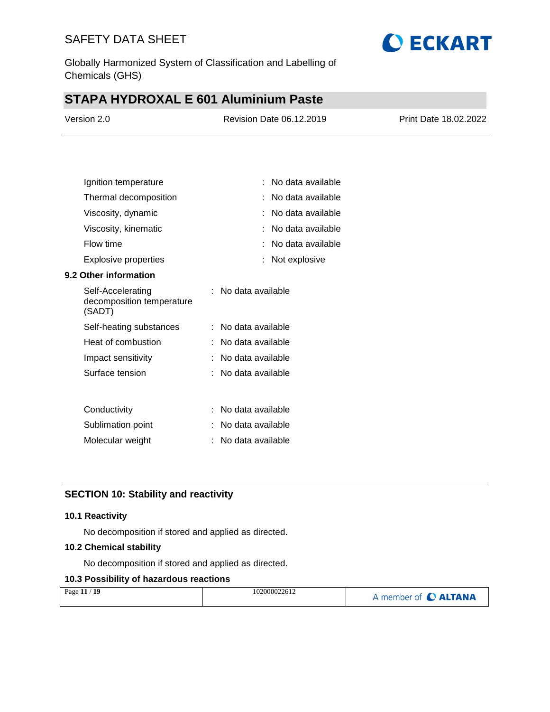

Globally Harmonized System of Classification and Labelling of Chemicals (GHS)

# **STAPA HYDROXAL E 601 Aluminium Paste**

| Version 2.0 | <b>Revision Date 06.12.2019</b> | <b>Print Date 18.02.2022</b> |
|-------------|---------------------------------|------------------------------|
|             |                                 |                              |

| Ignition temperature                                     | No data available   |
|----------------------------------------------------------|---------------------|
| Thermal decomposition                                    | No data available   |
| Viscosity, dynamic                                       | No data available   |
| Viscosity, kinematic                                     | No data available   |
| Flow time                                                | No data available   |
| Explosive properties                                     | Not explosive       |
| <b>9.2 Other information</b>                             |                     |
| Self-Accelerating<br>decomposition temperature<br>(SADT) | : No data available |
| Self-heating substances                                  | No data available   |
| Heat of combustion                                       | No data available   |
| Impact sensitivity                                       | No data available   |
| Surface tension                                          | No data available   |
|                                                          |                     |
| Conductivity                                             | No data available   |
| Sublimation point                                        | No data available   |
| Molecular weight                                         | No data available   |
|                                                          |                     |

## **SECTION 10: Stability and reactivity**

### **10.1 Reactivity**

No decomposition if stored and applied as directed.

### **10.2 Chemical stability**

No decomposition if stored and applied as directed.

## **10.3 Possibility of hazardous reactions**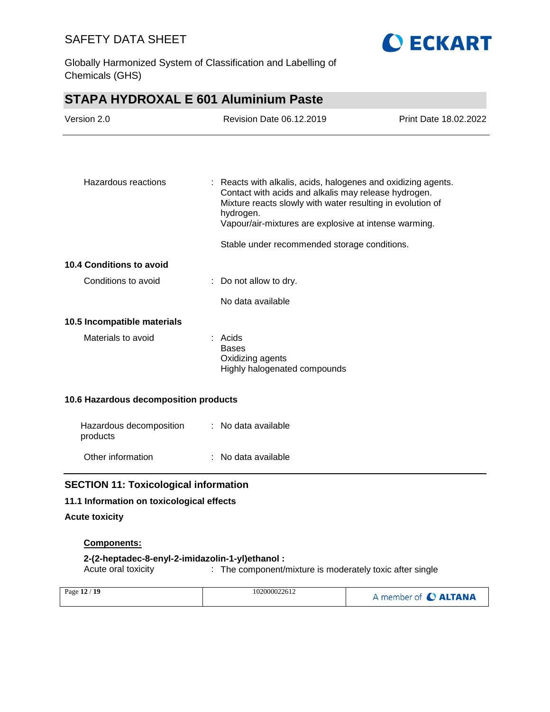

Globally Harmonized System of Classification and Labelling of Chemicals (GHS)

# **STAPA HYDROXAL E 601 Aluminium Paste**

| Version 2.0                                  |                                                                             | <b>Revision Date 06.12.2019</b>                                                                                                                                             |                                                               |
|----------------------------------------------|-----------------------------------------------------------------------------|-----------------------------------------------------------------------------------------------------------------------------------------------------------------------------|---------------------------------------------------------------|
|                                              |                                                                             |                                                                                                                                                                             |                                                               |
| Hazardous reactions                          | hydrogen.                                                                   | Contact with acids and alkalis may release hydrogen.<br>Mixture reacts slowly with water resulting in evolution of<br>Vapour/air-mixtures are explosive at intense warming. | : Reacts with alkalis, acids, halogenes and oxidizing agents. |
|                                              |                                                                             | Stable under recommended storage conditions.                                                                                                                                |                                                               |
| <b>10.4 Conditions to avoid</b>              |                                                                             |                                                                                                                                                                             |                                                               |
| Conditions to avoid                          | Do not allow to dry.                                                        |                                                                                                                                                                             |                                                               |
|                                              | No data available                                                           |                                                                                                                                                                             |                                                               |
| 10.5 Incompatible materials                  |                                                                             |                                                                                                                                                                             |                                                               |
| Materials to avoid                           | : Acids<br><b>Bases</b><br>Oxidizing agents<br>Highly halogenated compounds |                                                                                                                                                                             |                                                               |
| 10.6 Hazardous decomposition products        |                                                                             |                                                                                                                                                                             |                                                               |
| Hazardous decomposition<br>products          | : No data available                                                         |                                                                                                                                                                             |                                                               |
| Other information                            | No data available                                                           |                                                                                                                                                                             |                                                               |
| <b>SECTION 11: Toxicological information</b> |                                                                             |                                                                                                                                                                             |                                                               |
| 11.1 Information on toxicological effects    |                                                                             |                                                                                                                                                                             |                                                               |
| <b>Acute toxicity</b>                        |                                                                             |                                                                                                                                                                             |                                                               |
| <b>Components:</b>                           |                                                                             |                                                                                                                                                                             |                                                               |

**2-(2-heptadec-8-enyl-2-imidazolin-1-yl)ethanol :** : The component/mixture is moderately toxic after single

| Page 12 / 19 | 102000022612 | A member of C ALTANA |
|--------------|--------------|----------------------|
|--------------|--------------|----------------------|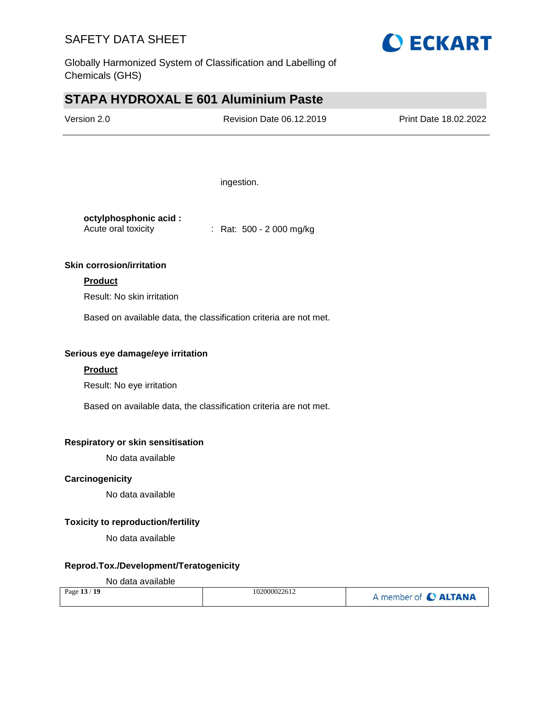

Globally Harmonized System of Classification and Labelling of Chemicals (GHS)

# **STAPA HYDROXAL E 601 Aluminium Paste**

| Version 2.0 | <b>Revision Date 06.12.2019</b> | Print Date 18.02.2022 |
|-------------|---------------------------------|-----------------------|
|             |                                 |                       |

ingestion.

| octylphosphonic acid: |                           |
|-----------------------|---------------------------|
| Acute oral toxicity   | : Rat: $500 - 2000$ mg/kg |

### **Skin corrosion/irritation**

### **Product**

Result: No skin irritation

Based on available data, the classification criteria are not met.

## **Serious eye damage/eye irritation**

### **Product**

Result: No eye irritation

Based on available data, the classification criteria are not met.

### **Respiratory or skin sensitisation**

No data available

### **Carcinogenicity**

No data available

### **Toxicity to reproduction/fertility**

No data available

### **Reprod.Tox./Development/Teratogenicity**

#### No data available

| Page 13 / 19 | 102000022612 | A member of C ALTANA |
|--------------|--------------|----------------------|
|--------------|--------------|----------------------|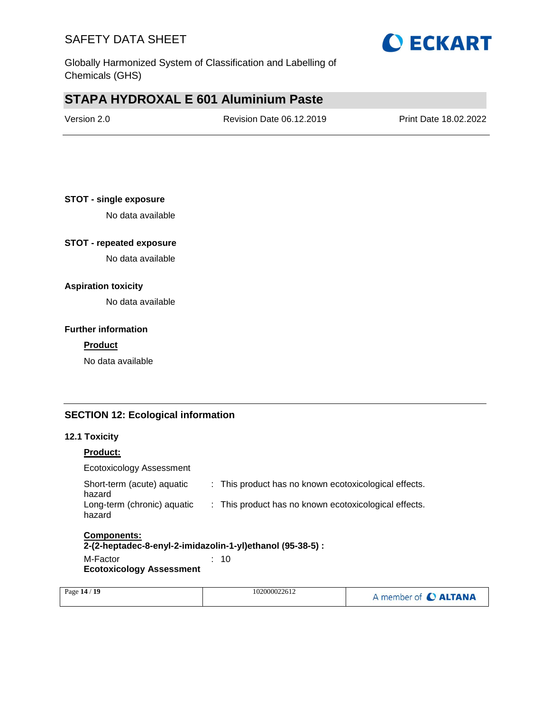

Globally Harmonized System of Classification and Labelling of Chemicals (GHS)

# **STAPA HYDROXAL E 601 Aluminium Paste**

## **STOT - single exposure**

No data available

### **STOT - repeated exposure**

No data available

### **Aspiration toxicity**

No data available

### **Further information**

#### **Product**

No data available

### **SECTION 12: Ecological information**

### **12.1 Toxicity**

### **Product:**

Ecotoxicology Assessment

| <b>Components:</b>                    |                                                       |
|---------------------------------------|-------------------------------------------------------|
| Long-term (chronic) aquatic<br>hazard | : This product has no known ecotoxicological effects. |
| Short-term (acute) aquatic<br>hazard  | : This product has no known ecotoxicological effects. |

#### **2-(2-heptadec-8-enyl-2-imidazolin-1-yl)ethanol (95-38-5) :**

M-Factor : 10 **Ecotoxicology Assessment**

| Page 14 / 19 | 102000022612 | A member of C ALTANA |
|--------------|--------------|----------------------|
|              |              |                      |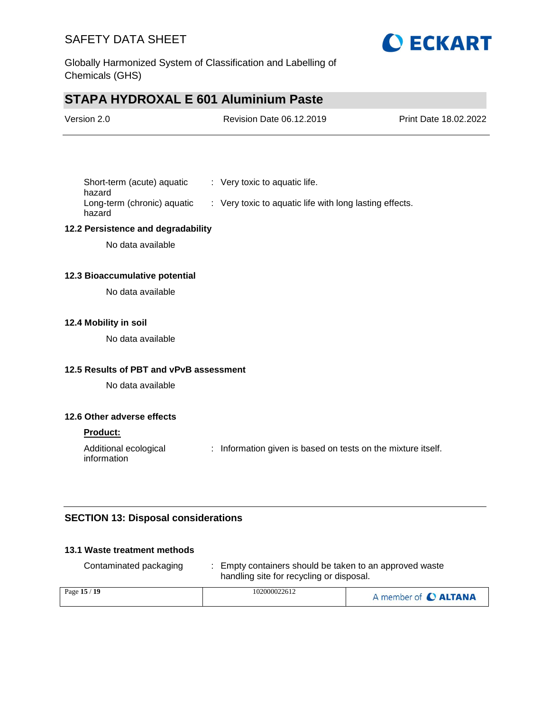

Globally Harmonized System of Classification and Labelling of Chemicals (GHS)

# **STAPA HYDROXAL E 601 Aluminium Paste**

| Version 2.0 | Revision Date 06.12.2019 | <b>Print Date 18.02.2022</b> |
|-------------|--------------------------|------------------------------|
|             |                          |                              |

| Short-term (acute) aquatic  | $\therefore$ Very toxic to aquatic life.                |
|-----------------------------|---------------------------------------------------------|
| hazard                      |                                                         |
| Long-term (chronic) aquatic | : Very toxic to aquatic life with long lasting effects. |
| hazard                      |                                                         |

### **12.2 Persistence and degradability**

No data available

### **12.3 Bioaccumulative potential**

No data available

### **12.4 Mobility in soil**

No data available

### **12.5 Results of PBT and vPvB assessment**

No data available

### **12.6 Other adverse effects**

#### **Product:**

Additional ecological information : Information given is based on tests on the mixture itself.

### **SECTION 13: Disposal considerations**

### **13.1 Waste treatment methods**

| Contaminated packaging | Empty containers should be taken to an approved waste<br>handling site for recycling or disposal. |                      |
|------------------------|---------------------------------------------------------------------------------------------------|----------------------|
| Page 15 / 19           | 102000022612                                                                                      | A member of C ALTANA |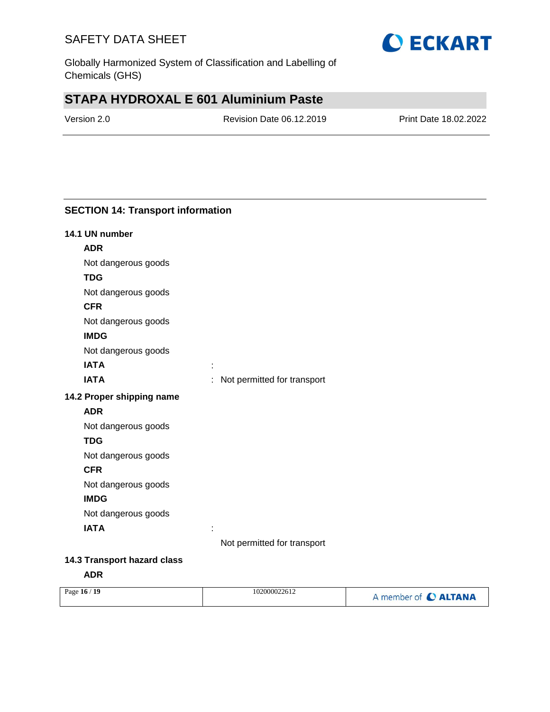

Globally Harmonized System of Classification and Labelling of Chemicals (GHS)

# **STAPA HYDROXAL E 601 Aluminium Paste**

Version 2.0 Revision Date 06.12.2019 Print Date 18.02.2022

## **SECTION 14: Transport information**

| 14.1 UN number            |                               |
|---------------------------|-------------------------------|
| <b>ADR</b>                |                               |
| Not dangerous goods       |                               |
| <b>TDG</b>                |                               |
| Not dangerous goods       |                               |
| <b>CFR</b>                |                               |
| Not dangerous goods       |                               |
| <b>IMDG</b>               |                               |
| Not dangerous goods       |                               |
| <b>IATA</b>               |                               |
| <b>IATA</b>               | : Not permitted for transport |
| 14.2 Proper shipping name |                               |
| <b>ADR</b>                |                               |
| Not dangerous goods       |                               |
| <b>TDG</b>                |                               |
| Not dangerous goods       |                               |
| <b>CFR</b>                |                               |
| Not dangerous goods       |                               |
| <b>IMDG</b>               |                               |
| Not dangerous goods       |                               |
| <b>IATA</b>               |                               |
|                           | Not permitted for transport   |
|                           |                               |

## **14.3 Transport hazard class**

**ADR**

| Page 16 / 19 | 102000022612 | A member of C ALTANA |
|--------------|--------------|----------------------|
|              |              |                      |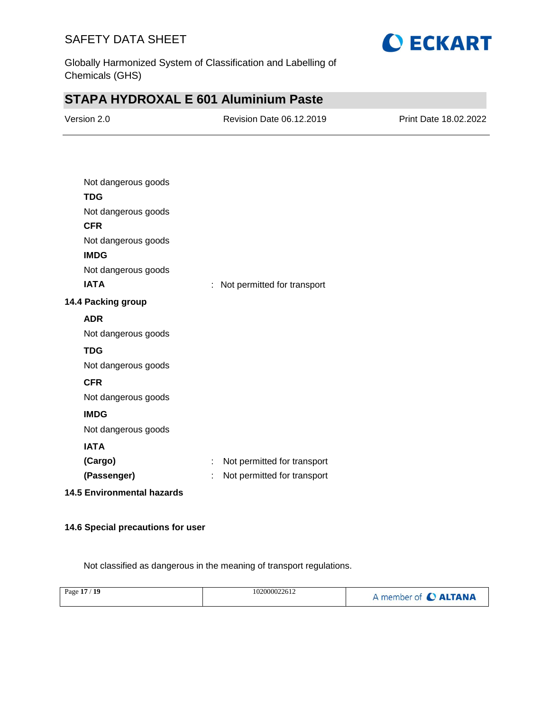

Globally Harmonized System of Classification and Labelling of Chemicals (GHS)

# **STAPA HYDROXAL E 601 Aluminium Paste**

| Version 2.0 | Revision Date 06.12.2019 | <b>Print Date 18.02.2022</b> |
|-------------|--------------------------|------------------------------|
|             |                          |                              |

| Not dangerous goods               |                                  |
|-----------------------------------|----------------------------------|
| <b>TDG</b>                        |                                  |
| Not dangerous goods               |                                  |
| <b>CFR</b>                        |                                  |
| Not dangerous goods               |                                  |
| <b>IMDG</b>                       |                                  |
| Not dangerous goods               |                                  |
| <b>IATA</b>                       | Not permitted for transport<br>÷ |
| 14.4 Packing group                |                                  |
| <b>ADR</b>                        |                                  |
| Not dangerous goods               |                                  |
| <b>TDG</b>                        |                                  |
| Not dangerous goods               |                                  |
| <b>CFR</b>                        |                                  |
| Not dangerous goods               |                                  |
| <b>IMDG</b>                       |                                  |
| Not dangerous goods               |                                  |
| <b>IATA</b>                       |                                  |
| (Cargo)                           | Not permitted for transport<br>t |
| (Passenger)                       | Not permitted for transport      |
| <b>14.5 Environmental hazards</b> |                                  |

### **14.6 Special precautions for user**

Not classified as dangerous in the meaning of transport regulations.

| Page 17 / 19 | 102000022612 | A member of C ALTANA |
|--------------|--------------|----------------------|
|              |              |                      |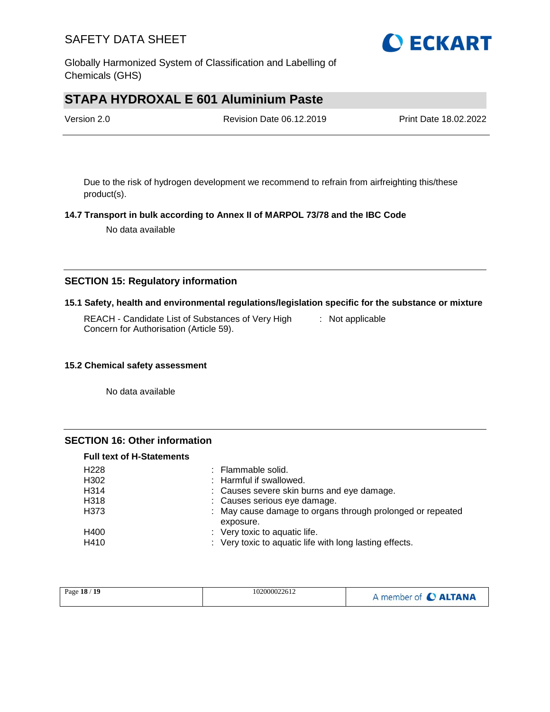

Globally Harmonized System of Classification and Labelling of Chemicals (GHS)

# **STAPA HYDROXAL E 601 Aluminium Paste**

| Version 2.0 | Revision Date 06.12.2019 | Print Date 18.02.2022 |
|-------------|--------------------------|-----------------------|
|             |                          |                       |

Due to the risk of hydrogen development we recommend to refrain from airfreighting this/these product(s).

### **14.7 Transport in bulk according to Annex II of MARPOL 73/78 and the IBC Code**

No data available

### **SECTION 15: Regulatory information**

### **15.1 Safety, health and environmental regulations/legislation specific for the substance or mixture**

REACH - Candidate List of Substances of Very High Concern for Authorisation (Article 59). : Not applicable

### **15.2 Chemical safety assessment**

No data available

### **SECTION 16: Other information**

### **Full text of H-Statements**

| H <sub>228</sub> | : Flammable solid.                                                      |
|------------------|-------------------------------------------------------------------------|
| H302             | : Harmful if swallowed.                                                 |
| H314             | : Causes severe skin burns and eye damage.                              |
| H318             | : Causes serious eye damage.                                            |
| H373             | : May cause damage to organs through prolonged or repeated<br>exposure. |
| H400             | : Very toxic to aquatic life.                                           |
| H410             | : Very toxic to aquatic life with long lasting effects.                 |

| Page 18 / 19 | 102000022612 | A member of C ALTANA |
|--------------|--------------|----------------------|
|--------------|--------------|----------------------|